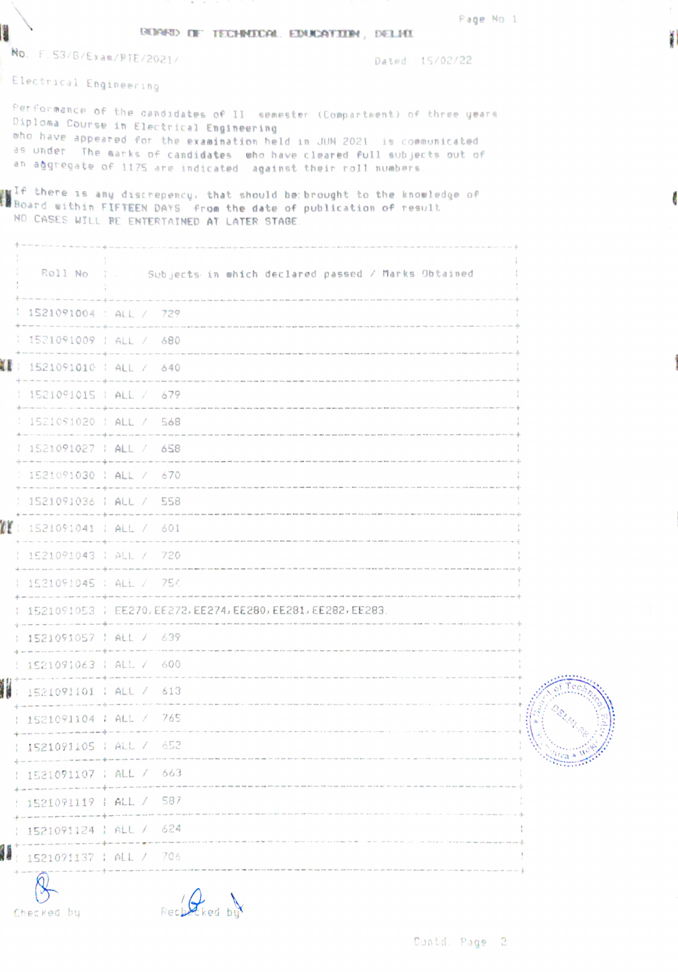|  |  |                                             | Page No 1 |  |
|--|--|---------------------------------------------|-----------|--|
|  |  | <b>BOARD OF TECHNOCAL EDUCATION, DELICE</b> |           |  |

No. F.53/6/Ex am/FTE/2021/ Dated 15/02/22

Electrical Engineer in9

ľ

Performance of the candidates of Il semester (Compartment) of three years<br>Diploma Course in Electrical Engineering <sup>01ploma</sup> Course in Electrical Engineering<br><sup>who</sup> have appeared for the examination held in JUN 2021 is communicated<br>as under. The eart as under. The marks of candidates who have cleared full subjects out of<br>an aggregate of 1175 are indicated against their roll numbers.

 $\frac{1}{2}$  there is any discrepency, that should be: brought to the knowledge of  $\frac{1}{2}$ tBoard ui thin FIFTEEN DAYS fron the date of pub1 ication of resul1t NO CASES UTLL RE ENTERTAINED AT LATER STABE

|                                       | Roll No   . Subjects in which declared passed / Marks Obtained                                                                            |  |
|---------------------------------------|-------------------------------------------------------------------------------------------------------------------------------------------|--|
| 1521091004 : ALL / 729                |                                                                                                                                           |  |
| 1521091009   ALL / 680                |                                                                                                                                           |  |
| ▓▓ : 1521091010 : ALL / 640           |                                                                                                                                           |  |
| 1521091015   ALL / 679                |                                                                                                                                           |  |
|                                       | 1521091020   ALL / 568                                                                                                                    |  |
| 1521091027   ALL / 658                |                                                                                                                                           |  |
|                                       | 1521091030   ALL / 670                                                                                                                    |  |
| 1521091036   ALL / 558                |                                                                                                                                           |  |
| $\mathbb{Z}$ : 1521091041 : ALL / 601 | time with them with any refer to the company's that time were with the time company of the company                                        |  |
| 1521091043   ALL / 720                | .<br>And the same was that the country of the same country and the shade that offer and structures country of the co                      |  |
| 1521091045   ALL / 754                |                                                                                                                                           |  |
|                                       | 1521091053   EE270, EE272, EE274, EE280, EE281, EE282, EE283.                                                                             |  |
| 1521091057   ALL / 639                |                                                                                                                                           |  |
| 1521091063   ALL / 600                |                                                                                                                                           |  |
| 1521091101   ALL / 613                |                                                                                                                                           |  |
| 1521091104 : ALL / 765                |                                                                                                                                           |  |
| 1521091105   ALL / 652                |                                                                                                                                           |  |
| 1521091107   ALL / 663                |                                                                                                                                           |  |
| 1521091119   ALL / 587                |                                                                                                                                           |  |
| 1521091124   ALL / 624                | -<br>The first the time about the case that they have not been need out out our accounts may be a mail of any part out our local and a st |  |
| <b>1521091137 : ALL / 706</b>         |                                                                                                                                           |  |
|                                       |                                                                                                                                           |  |
| Checked by                            | Rechetked but                                                                                                                             |  |

Contd. Page 2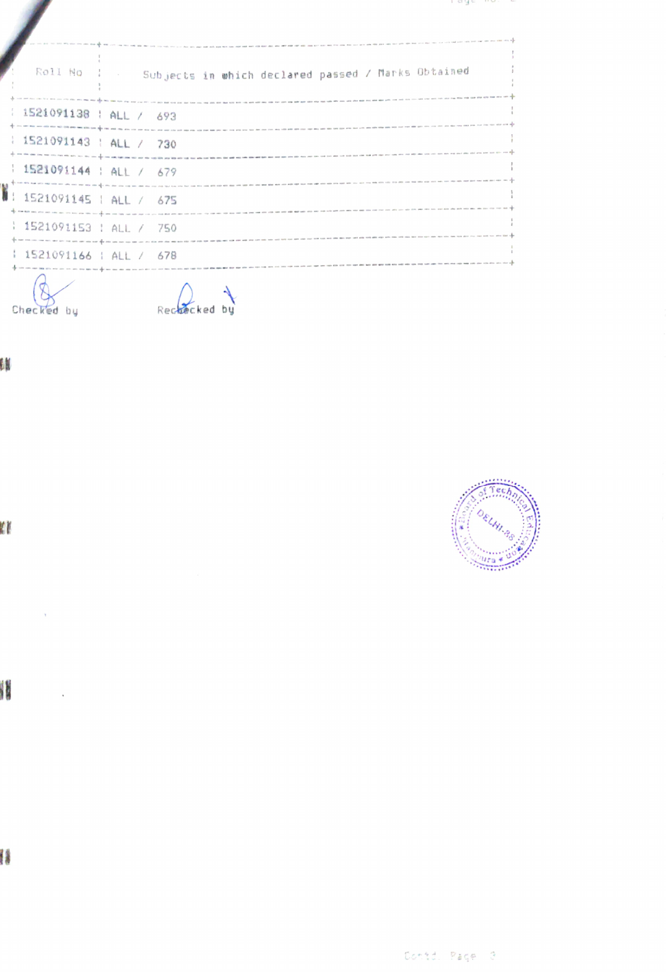| Roll No                                | Subjects in which declared passed / Marks Obtained                                                                                                                                                                                                                                                                                                                                                                                                        |
|----------------------------------------|-----------------------------------------------------------------------------------------------------------------------------------------------------------------------------------------------------------------------------------------------------------------------------------------------------------------------------------------------------------------------------------------------------------------------------------------------------------|
| : 1521091138 : ALL / 693               |                                                                                                                                                                                                                                                                                                                                                                                                                                                           |
| : 1521091143 : ALL / 730               |                                                                                                                                                                                                                                                                                                                                                                                                                                                           |
| $\frac{1521091144}{1001144}$ ALL / 679 | .<br>In this oriented the contract of the contract of the contract of the contract of the contract of the contract of the contract of the contract of the contract of the contract of the contract of the contract of the contrac                                                                                                                                                                                                                         |
| 1: 1521091145   ALL / 675              | $\frac{1}{2} \cdot \frac{1}{2} \cdot \frac{1}{2} \cdot \frac{1}{2} \cdot \frac{1}{2} \cdot \frac{1}{2} \cdot \frac{1}{2} \cdot \frac{1}{2} \cdot \frac{1}{2} \cdot \frac{1}{2} \cdot \frac{1}{2} \cdot \frac{1}{2} \cdot \frac{1}{2} \cdot \frac{1}{2} \cdot \frac{1}{2} \cdot \frac{1}{2} \cdot \frac{1}{2} \cdot \frac{1}{2} \cdot \frac{1}{2} \cdot \frac{1}{2} \cdot \frac{1}{2} \cdot \frac{1}{2} \cdot \frac{1}{2} \cdot \frac{1}{2} \cdot \frac{1$ |
| 1521091153   ALL / 750                 |                                                                                                                                                                                                                                                                                                                                                                                                                                                           |
| 1521091166   ALL / 678                 |                                                                                                                                                                                                                                                                                                                                                                                                                                                           |
| Checked                                | Recuecked                                                                                                                                                                                                                                                                                                                                                                                                                                                 |

## Œ



l,



l



Contd. Page 3